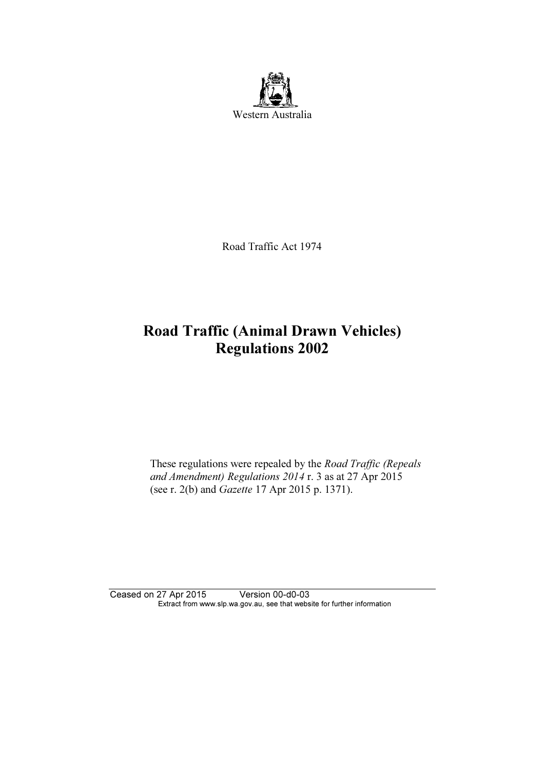

Road Traffic Act 1974

# Road Traffic (Animal Drawn Vehicles) Regulations 2002

 These regulations were repealed by the Road Traffic (Repeals and Amendment) Regulations 2014 r. 3 as at 27 Apr 2015 (see r. 2(b) and Gazette 17 Apr 2015 p. 1371).

Ceased on 27 Apr 2015 Version 00-d0-03 Extract from www.slp.wa.gov.au, see that website for further information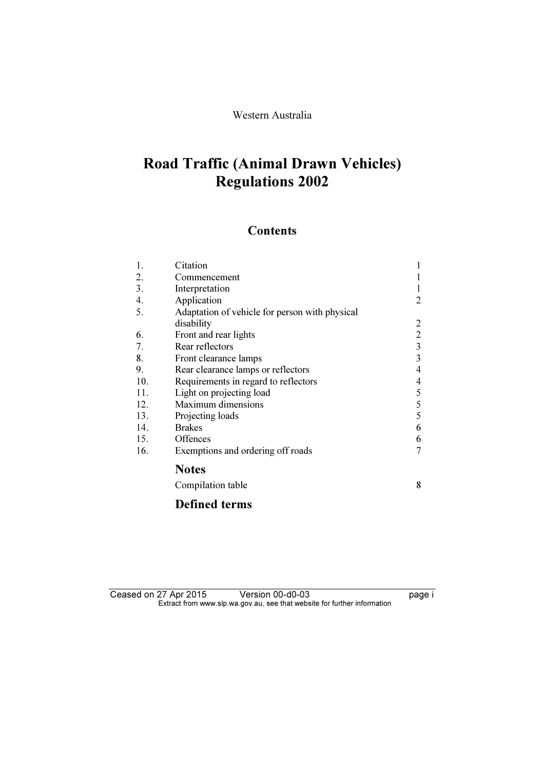# Western Australia

# Road Traffic (Animal Drawn Vehicles) Regulations 2002

# **Contents**

| 1.  | Citation                                       |                |
|-----|------------------------------------------------|----------------|
| 2.  | Commencement                                   |                |
| 3.  | Interpretation                                 |                |
| 4.  | Application                                    | 2              |
| 5.  | Adaptation of vehicle for person with physical |                |
|     | disability                                     | 2              |
| 6.  | Front and rear lights                          | $\overline{c}$ |
| 7.  | Rear reflectors                                | 3              |
| 8.  | Front clearance lamps                          | 3              |
| 9.  | Rear clearance lamps or reflectors             | 4              |
| 10. | Requirements in regard to reflectors           | 4              |
| 11. | Light on projecting load                       | 5              |
| 12. | Maximum dimensions                             | 5              |
| 13. | Projecting loads                               | 5              |
| 14. | <b>Brakes</b>                                  | 6              |
| 15. | Offences                                       | 6              |
| 16. | Exemptions and ordering off roads              | 7              |
|     | <b>Notes</b>                                   |                |
|     | Compilation table                              | 8              |
|     | <b>Defined terms</b>                           |                |

Ceased on 27 Apr 2015 Version 00-d0-03 ceased on 27 Apr 2015  $\mathbf{F}$  from which was the set that we besite for further information  $\mathbf{F}$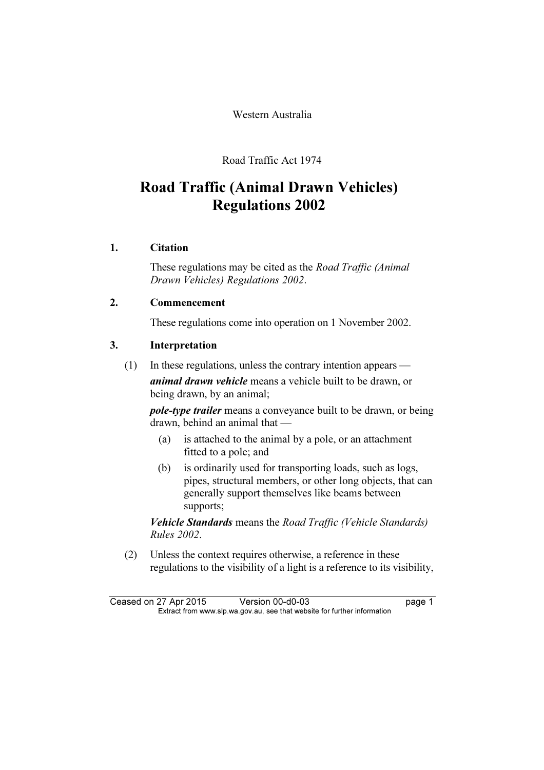Western Australia

Road Traffic Act 1974

# Road Traffic (Animal Drawn Vehicles) Regulations 2002

# 1. Citation

 These regulations may be cited as the Road Traffic (Animal Drawn Vehicles) Regulations 2002.

# 2. Commencement

These regulations come into operation on 1 November 2002.

# 3. Interpretation

(1) In these regulations, unless the contrary intention appears —

animal drawn vehicle means a vehicle built to be drawn, or being drawn, by an animal;

pole-type trailer means a conveyance built to be drawn, or being drawn, behind an animal that —

- (a) is attached to the animal by a pole, or an attachment fitted to a pole; and
- (b) is ordinarily used for transporting loads, such as logs, pipes, structural members, or other long objects, that can generally support themselves like beams between supports;

Vehicle Standards means the Road Traffic (Vehicle Standards) Rules 2002.

 (2) Unless the context requires otherwise, a reference in these regulations to the visibility of a light is a reference to its visibility,

Ceased on 27 Apr 2015 Version 00-d0-03 page 1<br>Extract from www.slp.wa.gov.au, see that website for further information  $\mathbf{F}$  from which was the set that we besite for further information  $\mathbf{F}$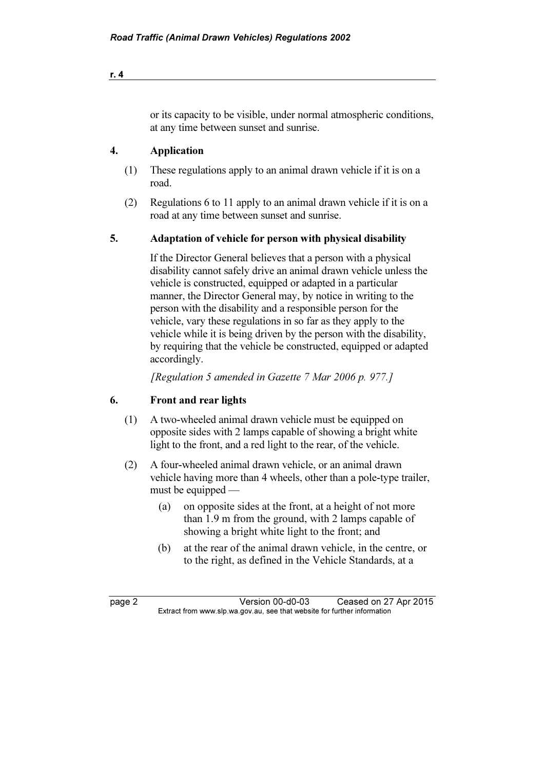or its capacity to be visible, under normal atmospheric conditions, at any time between sunset and sunrise.

# 4. Application

- (1) These regulations apply to an animal drawn vehicle if it is on a road.
- (2) Regulations 6 to 11 apply to an animal drawn vehicle if it is on a road at any time between sunset and sunrise.

# 5. Adaptation of vehicle for person with physical disability

 If the Director General believes that a person with a physical disability cannot safely drive an animal drawn vehicle unless the vehicle is constructed, equipped or adapted in a particular manner, the Director General may, by notice in writing to the person with the disability and a responsible person for the vehicle, vary these regulations in so far as they apply to the vehicle while it is being driven by the person with the disability, by requiring that the vehicle be constructed, equipped or adapted accordingly.

[Regulation 5 amended in Gazette 7 Mar 2006 p. 977.]

# 6. Front and rear lights

- (1) A two-wheeled animal drawn vehicle must be equipped on opposite sides with 2 lamps capable of showing a bright white light to the front, and a red light to the rear, of the vehicle.
- (2) A four-wheeled animal drawn vehicle, or an animal drawn vehicle having more than 4 wheels, other than a pole-type trailer, must be equipped —
	- (a) on opposite sides at the front, at a height of not more than 1.9 m from the ground, with 2 lamps capable of showing a bright white light to the front; and
	- (b) at the rear of the animal drawn vehicle, in the centre, or to the right, as defined in the Vehicle Standards, at a

page 2 Version 00-d0-03 Ceased on 27 Apr 2015<br>Extract from www.slp.wa.gov.au, see that website for further information  $\mathbf{F}$  from which was the set that we besite for further information  $\mathbf{F}$ 

r. 4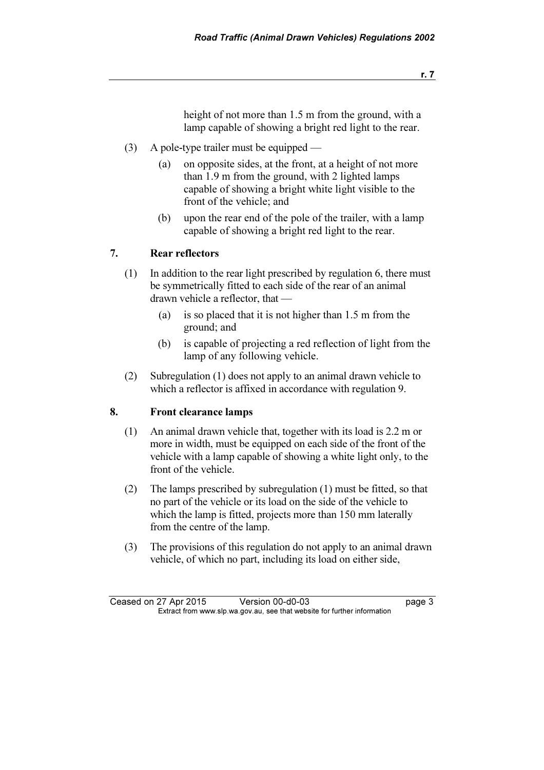height of not more than 1.5 m from the ground, with a lamp capable of showing a bright red light to the rear.

- (3) A pole-type trailer must be equipped
	- (a) on opposite sides, at the front, at a height of not more than 1.9 m from the ground, with 2 lighted lamps capable of showing a bright white light visible to the front of the vehicle; and
	- (b) upon the rear end of the pole of the trailer, with a lamp capable of showing a bright red light to the rear.

#### 7. Rear reflectors

- (1) In addition to the rear light prescribed by regulation 6, there must be symmetrically fitted to each side of the rear of an animal drawn vehicle a reflector, that —
	- (a) is so placed that it is not higher than 1.5 m from the ground; and
	- (b) is capable of projecting a red reflection of light from the lamp of any following vehicle.
- (2) Subregulation (1) does not apply to an animal drawn vehicle to which a reflector is affixed in accordance with regulation 9.

# 8. Front clearance lamps

- (1) An animal drawn vehicle that, together with its load is 2.2 m or more in width, must be equipped on each side of the front of the vehicle with a lamp capable of showing a white light only, to the front of the vehicle.
- (2) The lamps prescribed by subregulation (1) must be fitted, so that no part of the vehicle or its load on the side of the vehicle to which the lamp is fitted, projects more than 150 mm laterally from the centre of the lamp.
- (3) The provisions of this regulation do not apply to an animal drawn vehicle, of which no part, including its load on either side,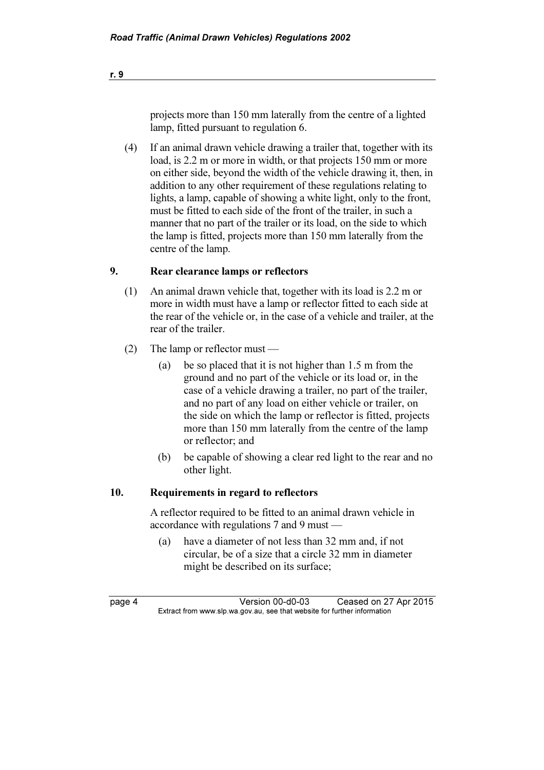projects more than 150 mm laterally from the centre of a lighted lamp, fitted pursuant to regulation 6.

 (4) If an animal drawn vehicle drawing a trailer that, together with its load, is 2.2 m or more in width, or that projects 150 mm or more on either side, beyond the width of the vehicle drawing it, then, in addition to any other requirement of these regulations relating to lights, a lamp, capable of showing a white light, only to the front, must be fitted to each side of the front of the trailer, in such a manner that no part of the trailer or its load, on the side to which the lamp is fitted, projects more than 150 mm laterally from the centre of the lamp.

#### 9. Rear clearance lamps or reflectors

- (1) An animal drawn vehicle that, together with its load is 2.2 m or more in width must have a lamp or reflector fitted to each side at the rear of the vehicle or, in the case of a vehicle and trailer, at the rear of the trailer.
- (2) The lamp or reflector must
	- (a) be so placed that it is not higher than 1.5 m from the ground and no part of the vehicle or its load or, in the case of a vehicle drawing a trailer, no part of the trailer, and no part of any load on either vehicle or trailer, on the side on which the lamp or reflector is fitted, projects more than 150 mm laterally from the centre of the lamp or reflector; and
	- (b) be capable of showing a clear red light to the rear and no other light.

#### 10. Requirements in regard to reflectors

 A reflector required to be fitted to an animal drawn vehicle in accordance with regulations 7 and 9 must —

 (a) have a diameter of not less than 32 mm and, if not circular, be of a size that a circle 32 mm in diameter might be described on its surface;

page 4 Version 00-d0-03 Ceased on 27 Apr 2015<br>Extract from www.slp.wa.gov.au, see that website for further information  $\mathbf{F}$  from which was the set that we besite for further information  $\mathbf{F}$ 

r. 9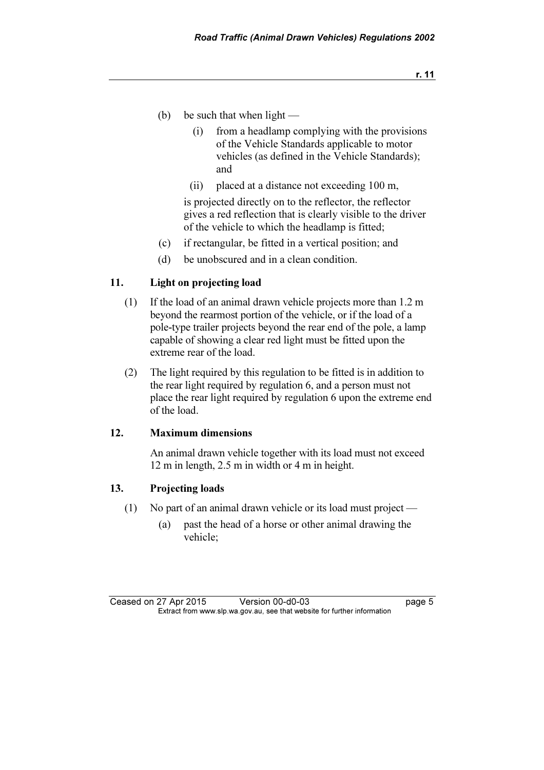- (b) be such that when light  $-$ 
	- (i) from a headlamp complying with the provisions of the Vehicle Standards applicable to motor vehicles (as defined in the Vehicle Standards); and
	- (ii) placed at a distance not exceeding 100 m,

 is projected directly on to the reflector, the reflector gives a red reflection that is clearly visible to the driver of the vehicle to which the headlamp is fitted;

- (c) if rectangular, be fitted in a vertical position; and
- (d) be unobscured and in a clean condition.

#### 11. Light on projecting load

- (1) If the load of an animal drawn vehicle projects more than 1.2 m beyond the rearmost portion of the vehicle, or if the load of a pole-type trailer projects beyond the rear end of the pole, a lamp capable of showing a clear red light must be fitted upon the extreme rear of the load.
- (2) The light required by this regulation to be fitted is in addition to the rear light required by regulation 6, and a person must not place the rear light required by regulation 6 upon the extreme end of the load.

#### 12. Maximum dimensions

 An animal drawn vehicle together with its load must not exceed 12 m in length, 2.5 m in width or 4 m in height.

#### 13. Projecting loads

- (1) No part of an animal drawn vehicle or its load must project
	- (a) past the head of a horse or other animal drawing the vehicle;

Ceased on 27 Apr 2015 Version 00-d0-03 page 5<br>Extract from www.slp.wa.gov.au, see that website for further information  $\mathbf{F}$  from which was the set that we besite for further information  $\mathbf{F}$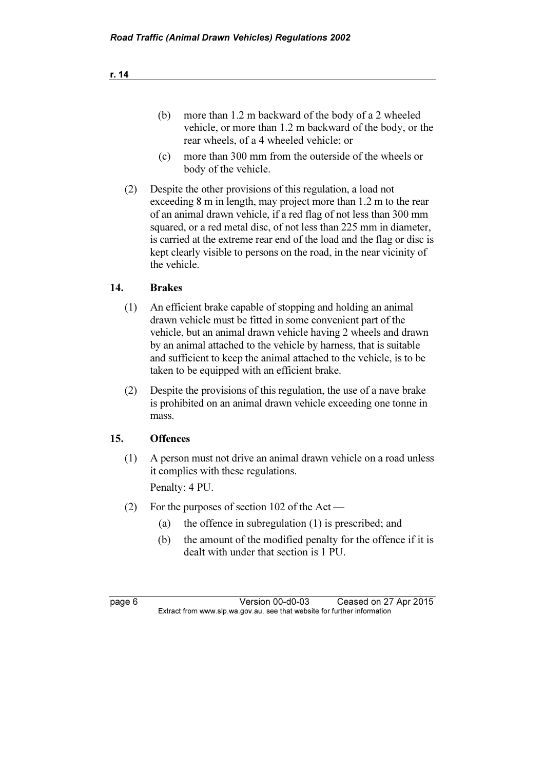- (b) more than 1.2 m backward of the body of a 2 wheeled vehicle, or more than 1.2 m backward of the body, or the rear wheels, of a 4 wheeled vehicle; or
- (c) more than 300 mm from the outerside of the wheels or body of the vehicle.
- (2) Despite the other provisions of this regulation, a load not exceeding 8 m in length, may project more than 1.2 m to the rear of an animal drawn vehicle, if a red flag of not less than 300 mm squared, or a red metal disc, of not less than 225 mm in diameter, is carried at the extreme rear end of the load and the flag or disc is kept clearly visible to persons on the road, in the near vicinity of the vehicle.

# 14. Brakes

- (1) An efficient brake capable of stopping and holding an animal drawn vehicle must be fitted in some convenient part of the vehicle, but an animal drawn vehicle having 2 wheels and drawn by an animal attached to the vehicle by harness, that is suitable and sufficient to keep the animal attached to the vehicle, is to be taken to be equipped with an efficient brake.
- (2) Despite the provisions of this regulation, the use of a nave brake is prohibited on an animal drawn vehicle exceeding one tonne in mass.

#### 15. Offences

 (1) A person must not drive an animal drawn vehicle on a road unless it complies with these regulations.

Penalty: 4 PU.

- (2) For the purposes of section 102 of the Act
	- (a) the offence in subregulation (1) is prescribed; and
	- (b) the amount of the modified penalty for the offence if it is dealt with under that section is 1 PU.

page 6 Version 00-d0-03 Ceased on 27 Apr 2015<br>Extract from www.slp.wa.gov.au, see that website for further information  $\mathbf{F}$  from which was the set that we besite for further information  $\mathbf{F}$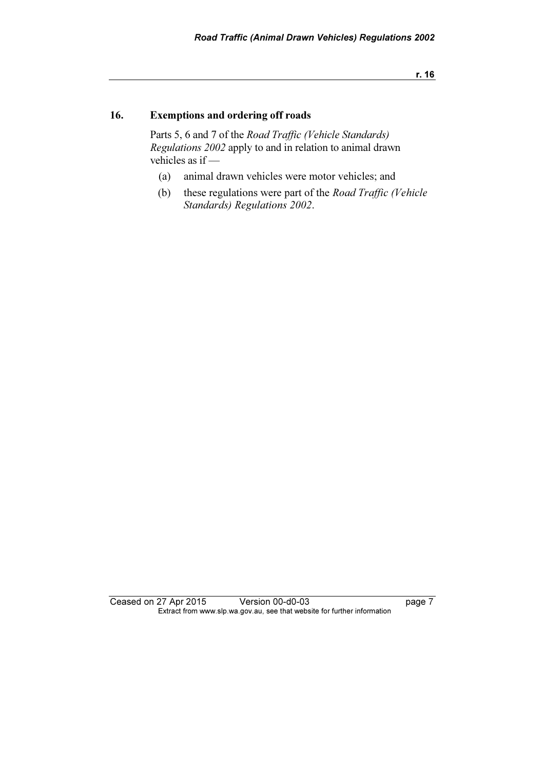r. 16

# 16. Exemptions and ordering off roads

 Parts 5, 6 and 7 of the Road Traffic (Vehicle Standards) Regulations 2002 apply to and in relation to animal drawn vehicles as if —

- (a) animal drawn vehicles were motor vehicles; and
- (b) these regulations were part of the Road Traffic (Vehicle Standards) Regulations 2002.

Ceased on 27 Apr 2015 Version 00-d0-03 page 7 Extract from www.slp.wa.gov.au, see that website for further information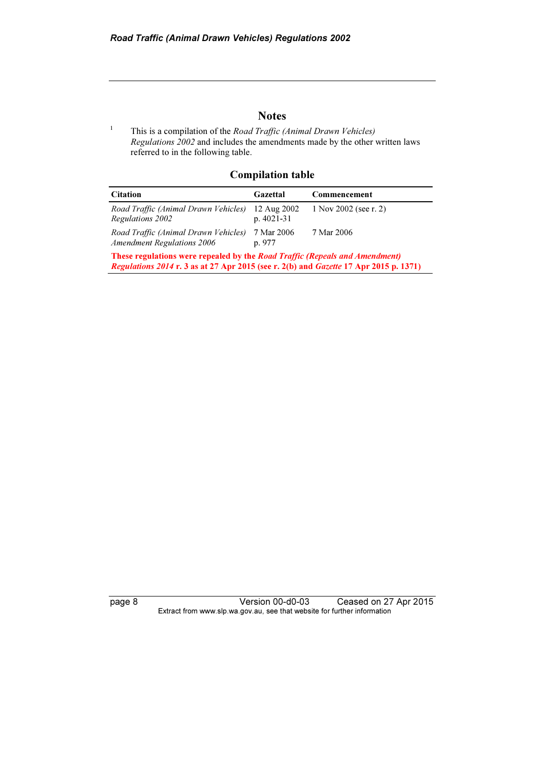#### **Notes**

1 This is a compilation of the Road Traffic (Animal Drawn Vehicles) Regulations 2002 and includes the amendments made by the other written laws referred to in the following table.

#### Compilation table

| <b>Citation</b>                                                                                                                                                             | Gazettal                   | Commencement          |
|-----------------------------------------------------------------------------------------------------------------------------------------------------------------------------|----------------------------|-----------------------|
| Road Traffic (Animal Drawn Vehicles)<br>Regulations 2002                                                                                                                    | 12 Aug 2002<br>$p.4021-31$ | 1 Nov 2002 (see r. 2) |
| Road Traffic (Animal Drawn Vehicles)<br><b>Amendment Regulations 2006</b>                                                                                                   | 7 Mar 2006<br>p. 977       | 7 Mar 2006            |
| <b>These regulations were repealed by the Road Traffic (Repeals and Amendment)</b><br>Regulations 2014 r. 3 as at 27 Apr 2015 (see r. 2(b) and Gazette 17 Apr 2015 p. 1371) |                            |                       |

page 8 Version 00-d0-03 Ceased on 27 Apr 2015 Extract from www.slp.wa.gov.au, see that website for further information